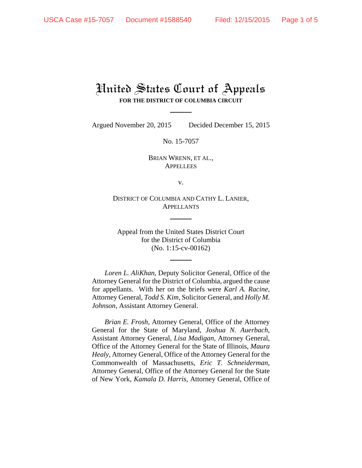## United States Court of Appeals **FOR THE DISTRICT OF COLUMBIA CIRCUIT**

Argued November 20, 2015 Decided December 15, 2015

No. 15-7057

BRIAN WRENN, ET AL., **APPELLEES** 

v.

DISTRICT OF COLUMBIA AND CATHY L. LANIER, APPELLANTS

Appeal from the United States District Court for the District of Columbia (No. 1:15-cv-00162)

*Loren L. AliKhan*, Deputy Solicitor General, Office of the Attorney General for the District of Columbia, argued the cause for appellants. With her on the briefs were *Karl A. Racine*, Attorney General, *Todd S. Kim*, Solicitor General, and *Holly M. Johnson*, Assistant Attorney General.

*Brian E. Frosh*, Attorney General, Office of the Attorney General for the State of Maryland, *Joshua N. Auerbach*, Assistant Attorney General, *Lisa Madigan*, Attorney General, Office of the Attorney General for the State of Illinois, *Maura Healy*, Attorney General, Office of the Attorney General for the Commonwealth of Massachusetts, *Eric T. Schneiderman*, Attorney General, Office of the Attorney General for the State of New York, *Kamala D. Harris*, Attorney General, Office of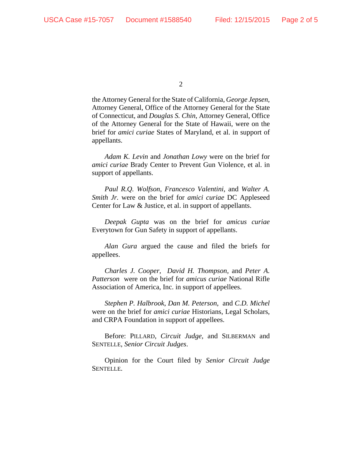the Attorney General for the State of California, *George Jepsen*, Attorney General, Office of the Attorney General for the State of Connecticut, and *Douglas S. Chin*, Attorney General, Office of the Attorney General for the State of Hawaii, were on the brief for *amici curiae* States of Maryland, et al. in support of appellants.

*Adam K. Levin* and *Jonathan Lowy* were on the brief for *amici curiae* Brady Center to Prevent Gun Violence, et al. in support of appellants.

*Paul R.Q. Wolfson*, *Francesco Valentini*, and *Walter A. Smith Jr.* were on the brief for *amici curiae* DC Appleseed Center for Law & Justice, et al. in support of appellants.

*Deepak Gupta* was on the brief for *amicus curiae* Everytown for Gun Safety in support of appellants.

*Alan Gura* argued the cause and filed the briefs for appellees.

*Charles J. Cooper*, *David H. Thompson*, and *Peter A. Patterson* were on the brief for *amicus curiae* National Rifle Association of America, Inc. in support of appellees.

*Stephen P. Halbrook*, *Dan M. Peterson*, and *C.D. Michel* were on the brief for *amici curiae* Historians, Legal Scholars, and CRPA Foundation in support of appellees.

Before: PILLARD, *Circuit Judge*, and SILBERMAN and SENTELLE, *Senior Circuit Judges*.

Opinion for the Court filed by *Senior Circuit Judge* SENTELLE.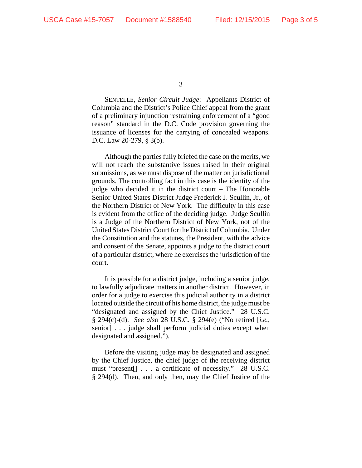SENTELLE, *Senior Circuit Judge*: Appellants District of Columbia and the District's Police Chief appeal from the grant of a preliminary injunction restraining enforcement of a "good reason" standard in the D.C. Code provision governing the issuance of licenses for the carrying of concealed weapons. D.C. Law 20-279, § 3(b).

Although the parties fully briefed the case on the merits, we will not reach the substantive issues raised in their original submissions, as we must dispose of the matter on jurisdictional grounds. The controlling fact in this case is the identity of the judge who decided it in the district court – The Honorable Senior United States District Judge Frederick J. Scullin, Jr., of the Northern District of New York. The difficulty in this case is evident from the office of the deciding judge. Judge Scullin is a Judge of the Northern District of New York, not of the United States District Court for the District of Columbia. Under the Constitution and the statutes, the President, with the advice and consent of the Senate, appoints a judge to the district court of a particular district, where he exercises the jurisdiction of the court.

It is possible for a district judge, including a senior judge, to lawfully adjudicate matters in another district. However, in order for a judge to exercise this judicial authority in a district located outside the circuit of his home district, the judge must be "designated and assigned by the Chief Justice." 28 U.S.C. § 294(c)-(d). *See also* 28 U.S.C. § 294(e) ("No retired [*i.e.*, senior] . . . judge shall perform judicial duties except when designated and assigned.").

Before the visiting judge may be designated and assigned by the Chief Justice, the chief judge of the receiving district must "present[] . . . a certificate of necessity." 28 U.S.C. § 294(d). Then, and only then, may the Chief Justice of the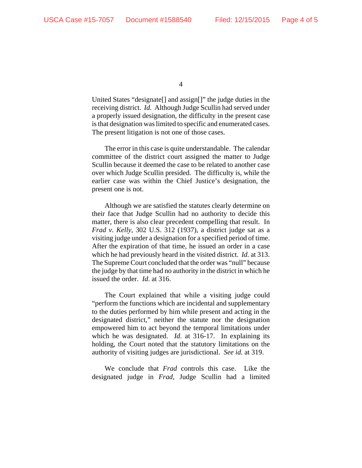United States "designate[] and assign[]" the judge duties in the receiving district. *Id.* Although Judge Scullin had served under a properly issued designation, the difficulty in the present case is that designation was limited to specific and enumerated cases. The present litigation is not one of those cases.

The error in this case is quite understandable. The calendar committee of the district court assigned the matter to Judge Scullin because it deemed the case to be related to another case over which Judge Scullin presided.The difficulty is, while the earlier case was within the Chief Justice's designation, the present one is not.

Although we are satisfied the statutes clearly determine on their face that Judge Scullin had no authority to decide this matter, there is also clear precedent compelling that result. In *Frad v. Kelly*, 302 U.S. 312 (1937), a district judge sat as a visiting judge under a designation for a specified period of time. After the expiration of that time, he issued an order in a case which he had previously heard in the visited district. *Id.* at 313. The Supreme Court concluded that the order was "null" because the judge by that time had no authority in the district in which he issued the order. *Id.* at 316.

The Court explained that while a visiting judge could "perform the functions which are incidental and supplementary to the duties performed by him while present and acting in the designated district," neither the statute nor the designation empowered him to act beyond the temporal limitations under which he was designated. *Id.* at 316-17. In explaining its holding, the Court noted that the statutory limitations on the authority of visiting judges are jurisdictional. *See id.* at 319.

We conclude that *Frad* controls this case. Like the designated judge in *Frad*, Judge Scullin had a limited